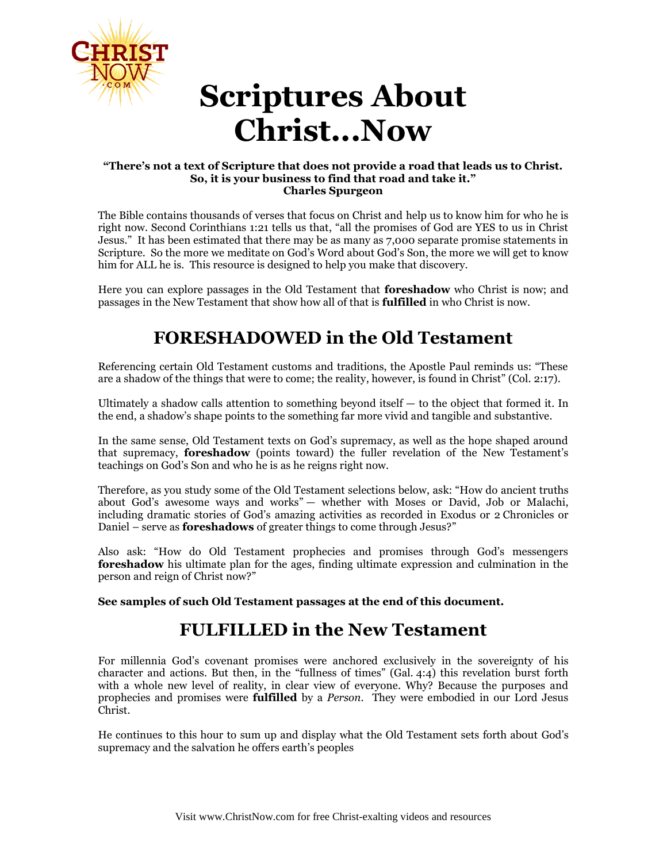

# **Scriptures About Christ...Now**

#### **"There's not a text of Scripture that does not provide a road that leads us to Christ. So, it is your business to find that road and take it." Charles Spurgeon**

The Bible contains thousands of verses that focus on Christ and help us to know him for who he is right now. Second Corinthians 1:21 tells us that, "all the promises of God are YES to us in Christ Jesus." It has been estimated that there may be as many as 7,000 separate promise statements in Scripture. So the more we meditate on God's Word about God's Son, the more we will get to know him for ALL he is. This resource is designed to help you make that discovery.

Here you can explore passages in the Old Testament that **foreshadow** who Christ is now; and passages in the New Testament that show how all of that is **fulfilled** in who Christ is now.

# **FORESHADOWED in the Old Testament**

Referencing certain Old Testament customs and traditions, the Apostle Paul reminds us: "These are a shadow of the things that were to come; the reality, however, is found in Christ" (Col. 2:17).

Ultimately a shadow calls attention to something beyond itself  $-$  to the object that formed it. In the end, a shadow's shape points to the something far more vivid and tangible and substantive.

In the same sense, Old Testament texts on God's supremacy, as well as the hope shaped around that supremacy, **foreshadow** (points toward) the fuller revelation of the New Testament's teachings on God's Son and who he is as he reigns right now.

Therefore, as you study some of the Old Testament selections below, ask: "How do ancient truths about God's awesome ways and works" — whether with Moses or David, Job or Malachi, including dramatic stories of God's amazing activities as recorded in Exodus or 2 Chronicles or Daniel – serve as **foreshadows** of greater things to come through Jesus?"

Also ask: "How do Old Testament prophecies and promises through God's messengers **foreshadow** his ultimate plan for the ages, finding ultimate expression and culmination in the person and reign of Christ now?"

**See samples of such Old Testament passages at the end of this document.**

# **FULFILLED in the New Testament**

For millennia God's covenant promises were anchored exclusively in the sovereignty of his character and actions. But then, in the "fullness of times" (Gal. 4:4) this revelation burst forth with a whole new level of reality, in clear view of everyone. Why? Because the purposes and prophecies and promises were **fulfilled** by a *Person*. They were embodied in our Lord Jesus Christ.

He continues to this hour to sum up and display what the Old Testament sets forth about God's supremacy and the salvation he offers earth's peoples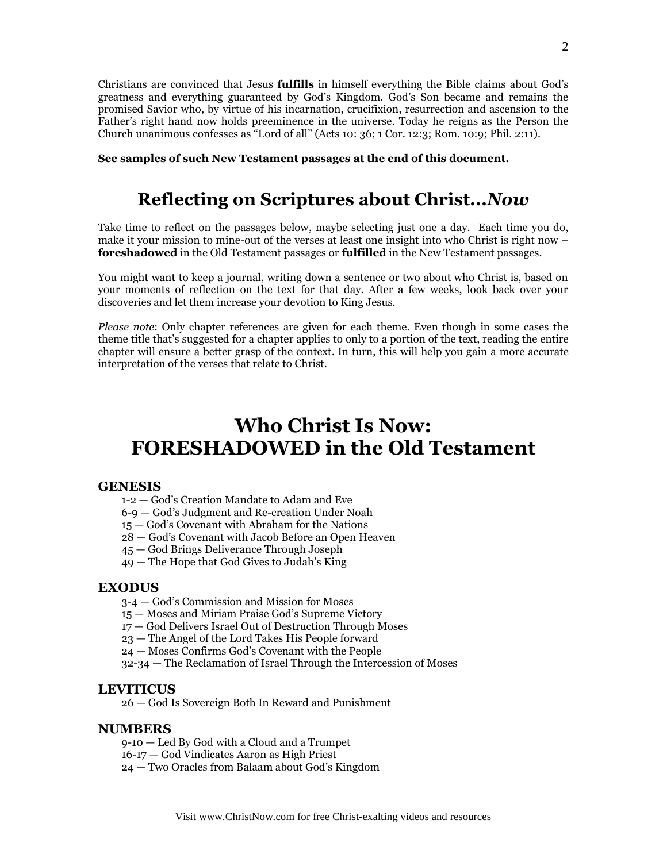Christians are convinced that Jesus **fulfills** in himself everything the Bible claims about God's greatness and everything guaranteed by God's Kingdom. God's Son became and remains the promised Savior who, by virtue of his incarnation, crucifixion, resurrection and ascension to the Father's right hand now holds preeminence in the universe. Today he reigns as the Person the Church unanimous confesses as "Lord of all" (Acts 10: 36; 1 Cor. 12:3; Rom. 10:9; Phil. 2:11).

**See samples of such New Testament passages at the end of this document.**

# **Reflecting on Scriptures about Christ...***Now*

Take time to reflect on the passages below, maybe selecting just one a day. Each time you do, make it your mission to mine-out of the verses at least one insight into who Christ is right now – **foreshadowed** in the Old Testament passages or **fulfilled** in the New Testament passages.

You might want to keep a journal, writing down a sentence or two about who Christ is, based on your moments of reflection on the text for that day. After a few weeks, look back over your discoveries and let them increase your devotion to King Jesus.

*Please note*: Only chapter references are given for each theme. Even though in some cases the theme title that's suggested for a chapter applies to only to a portion of the text, reading the entire chapter will ensure a better grasp of the context. In turn, this will help you gain a more accurate interpretation of the verses that relate to Christ.

# **Who Christ Is Now: FORESHADOWED in the Old Testament**

#### **GENESIS**

- 1-2 God's Creation Mandate to Adam and Eve
- 6-9 God's Judgment and Re-creation Under Noah
- 15 God's Covenant with Abraham for the Nations
- 28 God's Covenant with Jacob Before an Open Heaven
- 45 God Brings Deliverance Through Joseph
- 49 The Hope that God Gives to Judah's King

#### **EXODUS**

- 3-4 God's Commission and Mission for Moses
- 15 Moses and Miriam Praise God's Supreme Victory
- 17 God Delivers Israel Out of Destruction Through Moses
- 23 The Angel of the Lord Takes His People forward
- 24 Moses Confirms God's Covenant with the People
- 32-34 The Reclamation of Israel Through the Intercession of Moses

#### **LEVITICUS**

26 — God Is Sovereign Both In Reward and Punishment

#### **NUMBERS**

- 9-10 Led By God with a Cloud and a Trumpet
- 16-17 God Vindicates Aaron as High Priest
- 24 Two Oracles from Balaam about God's Kingdom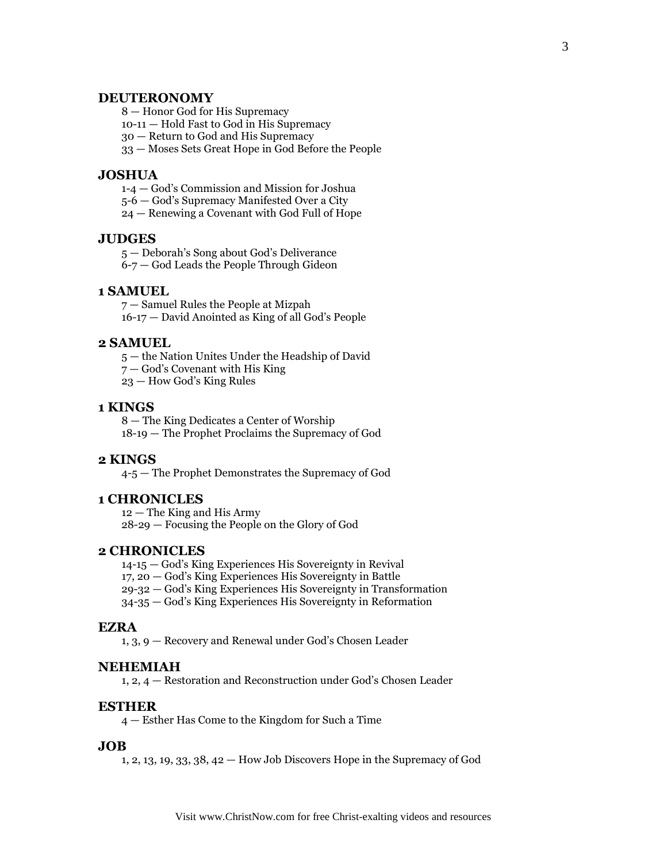#### **DEUTERONOMY**

8 — Honor God for His Supremacy

10-11 — Hold Fast to God in His Supremacy

30 — Return to God and His Supremacy

33 — Moses Sets Great Hope in God Before the People

#### **JOSHUA**

1-4 — God's Commission and Mission for Joshua

5-6 — God's Supremacy Manifested Over a City

24 — Renewing a Covenant with God Full of Hope

#### **JUDGES**

5 — Deborah's Song about God's Deliverance

6-7 — God Leads the People Through Gideon

#### **1 SAMUEL**

7 — Samuel Rules the People at Mizpah 16-17 — David Anointed as King of all God's People

#### **2 SAMUEL**

5 — the Nation Unites Under the Headship of David

7 — God's Covenant with His King

23 — How God's King Rules

#### **1 KINGS**

8 — The King Dedicates a Center of Worship 18-19 — The Prophet Proclaims the Supremacy of God

#### **2 KINGS**

4-5 — The Prophet Demonstrates the Supremacy of God

#### **1 CHRONICLES**

12 — The King and His Army 28-29 — Focusing the People on the Glory of God

#### **2 CHRONICLES**

14-15 — God's King Experiences His Sovereignty in Revival

17, 20 — God's King Experiences His Sovereignty in Battle

29-32 — God's King Experiences His Sovereignty in Transformation

34-35 — God's King Experiences His Sovereignty in Reformation

#### **EZRA**

1, 3, 9 — Recovery and Renewal under God's Chosen Leader

#### **NEHEMIAH**

1, 2, 4 — Restoration and Reconstruction under God's Chosen Leader

#### **ESTHER**

4 — Esther Has Come to the Kingdom for Such a Time

#### **JOB**

1, 2, 13, 19, 33, 38, 42 — How Job Discovers Hope in the Supremacy of God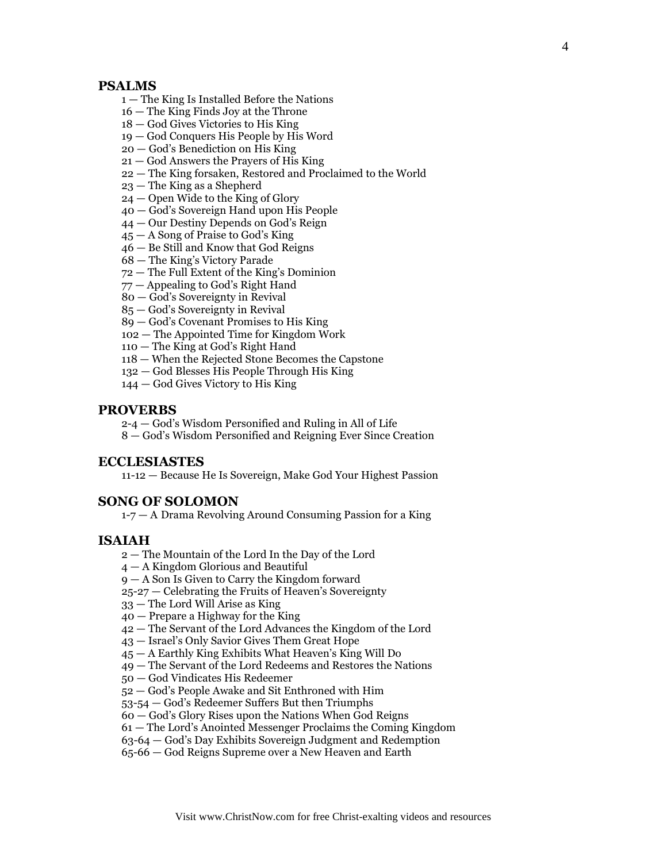#### **PSALMS**

- The King Is Installed Before the Nations
- The King Finds Joy at the Throne
- God Gives Victories to His King
- God Conquers His People by His Word
- God's Benediction on His King
- God Answers the Prayers of His King
- The King forsaken, Restored and Proclaimed to the World
- The King as a Shepherd
- Open Wide to the King of Glory
- God's Sovereign Hand upon His People
- Our Destiny Depends on God's Reign
- A Song of Praise to God's King
- Be Still and Know that God Reigns
- The King's Victory Parade
- The Full Extent of the King's Dominion
- Appealing to God's Right Hand
- God's Sovereignty in Revival
- God's Sovereignty in Revival
- God's Covenant Promises to His King
- The Appointed Time for Kingdom Work
- The King at God's Right Hand
- When the Rejected Stone Becomes the Capstone
- God Blesses His People Through His King
- God Gives Victory to His King

#### **PROVERBS**

2-4 — God's Wisdom Personified and Ruling in All of Life

— God's Wisdom Personified and Reigning Ever Since Creation

#### **ECCLESIASTES**

11-12 — Because He Is Sovereign, Make God Your Highest Passion

#### **SONG OF SOLOMON**

1-7 — A Drama Revolving Around Consuming Passion for a King

#### **ISAIAH**

- The Mountain of the Lord In the Day of the Lord
- A Kingdom Glorious and Beautiful
- A Son Is Given to Carry the Kingdom forward
- 25-27 Celebrating the Fruits of Heaven's Sovereignty
- The Lord Will Arise as King
- Prepare a Highway for the King
- The Servant of the Lord Advances the Kingdom of the Lord
- Israel's Only Savior Gives Them Great Hope
- A Earthly King Exhibits What Heaven's King Will Do
- The Servant of the Lord Redeems and Restores the Nations
- God Vindicates His Redeemer
- God's People Awake and Sit Enthroned with Him
- 53-54 God's Redeemer Suffers But then Triumphs
- God's Glory Rises upon the Nations When God Reigns
- The Lord's Anointed Messenger Proclaims the Coming Kingdom
- 63-64 God's Day Exhibits Sovereign Judgment and Redemption
- 65-66 God Reigns Supreme over a New Heaven and Earth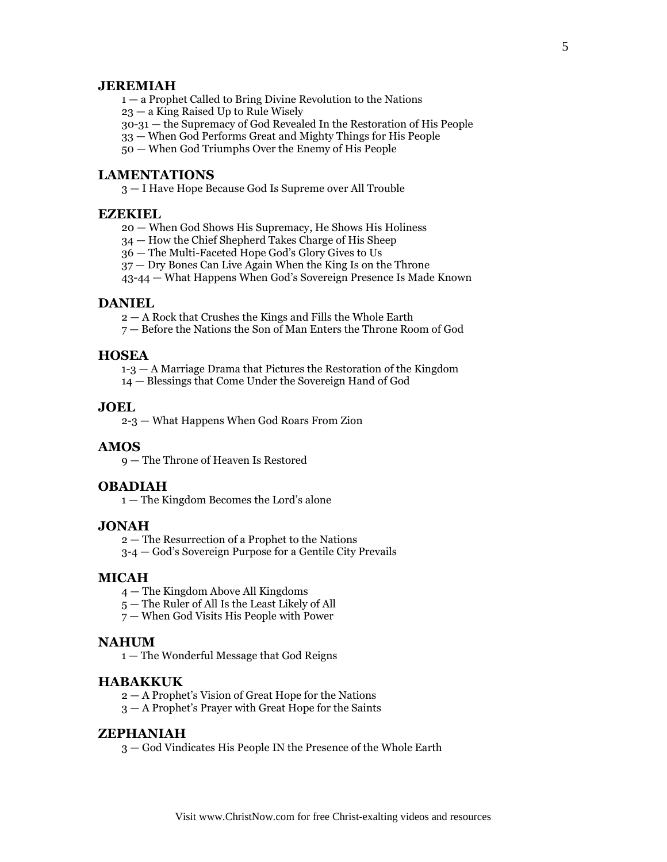#### **JEREMIAH**

1 — a Prophet Called to Bring Divine Revolution to the Nations

23 — a King Raised Up to Rule Wisely

30-31 — the Supremacy of God Revealed In the Restoration of His People

33 — When God Performs Great and Mighty Things for His People

50 — When God Triumphs Over the Enemy of His People

#### **LAMENTATIONS**

3 — I Have Hope Because God Is Supreme over All Trouble

#### **EZEKIEL**

20 — When God Shows His Supremacy, He Shows His Holiness

34 — How the Chief Shepherd Takes Charge of His Sheep

36 — The Multi-Faceted Hope God's Glory Gives to Us

37 — Dry Bones Can Live Again When the King Is on the Throne

43-44 — What Happens When God's Sovereign Presence Is Made Known

#### **DANIEL**

2 — A Rock that Crushes the Kings and Fills the Whole Earth

7 — Before the Nations the Son of Man Enters the Throne Room of God

## **HOSEA**

1-3 — A Marriage Drama that Pictures the Restoration of the Kingdom

14 — Blessings that Come Under the Sovereign Hand of God

#### **JOEL**

2-3 — What Happens When God Roars From Zion

#### **AMOS**

9 — The Throne of Heaven Is Restored

#### **OBADIAH**

1 — The Kingdom Becomes the Lord's alone

#### **JONAH**

2 — The Resurrection of a Prophet to the Nations

3-4 — God's Sovereign Purpose for a Gentile City Prevails

#### **MICAH**

- 4 The Kingdom Above All Kingdoms
- 5 The Ruler of All Is the Least Likely of All
- 7 When God Visits His People with Power

#### **NAHUM**

1 — The Wonderful Message that God Reigns

#### **HABAKKUK**

2 — A Prophet's Vision of Great Hope for the Nations

3 — A Prophet's Prayer with Great Hope for the Saints

#### **ZEPHANIAH**

3 — God Vindicates His People IN the Presence of the Whole Earth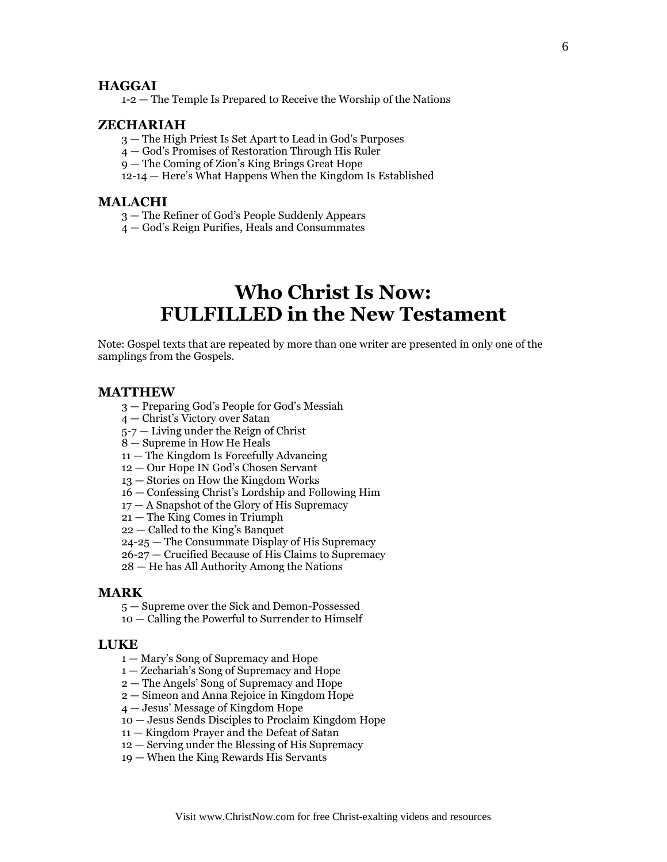#### **HAGGAI**

1-2 — The Temple Is Prepared to Receive the Worship of the Nations

#### **ZECHARIAH**

- The High Priest Is Set Apart to Lead in God's Purposes
- God's Promises of Restoration Through His Ruler
- The Coming of Zion's King Brings Great Hope
- 12-14 Here's What Happens When the Kingdom Is Established

#### **MALACHI**

- The Refiner of God's People Suddenly Appears
- God's Reign Purifies, Heals and Consummates

# **Who Christ Is Now: FULFILLED in the New Testament**

Note: Gospel texts that are repeated by more than one writer are presented in only one of the samplings from the Gospels.

#### **MATTHEW**

- Preparing God's People for God's Messiah
- Christ's Victory over Satan
- 5-7 Living under the Reign of Christ
- Supreme in How He Heals
- The Kingdom Is Forcefully Advancing
- Our Hope IN God's Chosen Servant
- Stories on How the Kingdom Works
- Confessing Christ's Lordship and Following Him
- A Snapshot of the Glory of His Supremacy
- The King Comes in Triumph
- Called to the King's Banquet
- 24-25 The Consummate Display of His Supremacy
- 26-27 Crucified Because of His Claims to Supremacy
- He has All Authority Among the Nations

#### **MARK**

- Supreme over the Sick and Demon-Possessed
- Calling the Powerful to Surrender to Himself

#### **LUKE**

- Mary's Song of Supremacy and Hope
- Zechariah's Song of Supremacy and Hope
- The Angels' Song of Supremacy and Hope
- Simeon and Anna Rejoice in Kingdom Hope
- Jesus' Message of Kingdom Hope
- Jesus Sends Disciples to Proclaim Kingdom Hope
- Kingdom Prayer and the Defeat of Satan
- Serving under the Blessing of His Supremacy
- When the King Rewards His Servants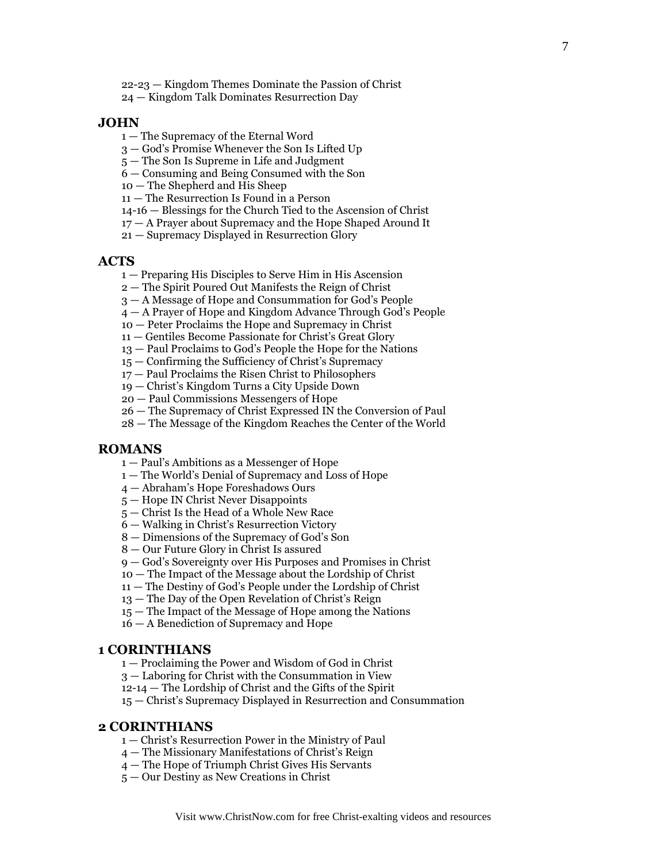22-23 — Kingdom Themes Dominate the Passion of Christ

— Kingdom Talk Dominates Resurrection Day

#### **JOHN**

- The Supremacy of the Eternal Word
- God's Promise Whenever the Son Is Lifted Up
- The Son Is Supreme in Life and Judgment
- Consuming and Being Consumed with the Son
- The Shepherd and His Sheep
- The Resurrection Is Found in a Person
- 14-16 Blessings for the Church Tied to the Ascension of Christ
- A Prayer about Supremacy and the Hope Shaped Around It
- Supremacy Displayed in Resurrection Glory

#### **ACTS**

- Preparing His Disciples to Serve Him in His Ascension
- The Spirit Poured Out Manifests the Reign of Christ
- A Message of Hope and Consummation for God's People
- A Prayer of Hope and Kingdom Advance Through God's People
- Peter Proclaims the Hope and Supremacy in Christ
- Gentiles Become Passionate for Christ's Great Glory
- Paul Proclaims to God's People the Hope for the Nations
- Confirming the Sufficiency of Christ's Supremacy
- Paul Proclaims the Risen Christ to Philosophers
- Christ's Kingdom Turns a City Upside Down
- Paul Commissions Messengers of Hope
- The Supremacy of Christ Expressed IN the Conversion of Paul
- The Message of the Kingdom Reaches the Center of the World

#### **ROMANS**

- Paul's Ambitions as a Messenger of Hope
- The World's Denial of Supremacy and Loss of Hope
- Abraham's Hope Foreshadows Ours
- Hope IN Christ Never Disappoints
- Christ Is the Head of a Whole New Race
- Walking in Christ's Resurrection Victory
- Dimensions of the Supremacy of God's Son
- Our Future Glory in Christ Is assured
- God's Sovereignty over His Purposes and Promises in Christ
- The Impact of the Message about the Lordship of Christ
- The Destiny of God's People under the Lordship of Christ
- The Day of the Open Revelation of Christ's Reign
- The Impact of the Message of Hope among the Nations
- A Benediction of Supremacy and Hope

#### **CORINTHIANS**

- Proclaiming the Power and Wisdom of God in Christ
- Laboring for Christ with the Consummation in View
- 12-14 The Lordship of Christ and the Gifts of the Spirit

— Christ's Supremacy Displayed in Resurrection and Consummation

#### **CORINTHIANS**

- Christ's Resurrection Power in the Ministry of Paul
- The Missionary Manifestations of Christ's Reign
- The Hope of Triumph Christ Gives His Servants
- Our Destiny as New Creations in Christ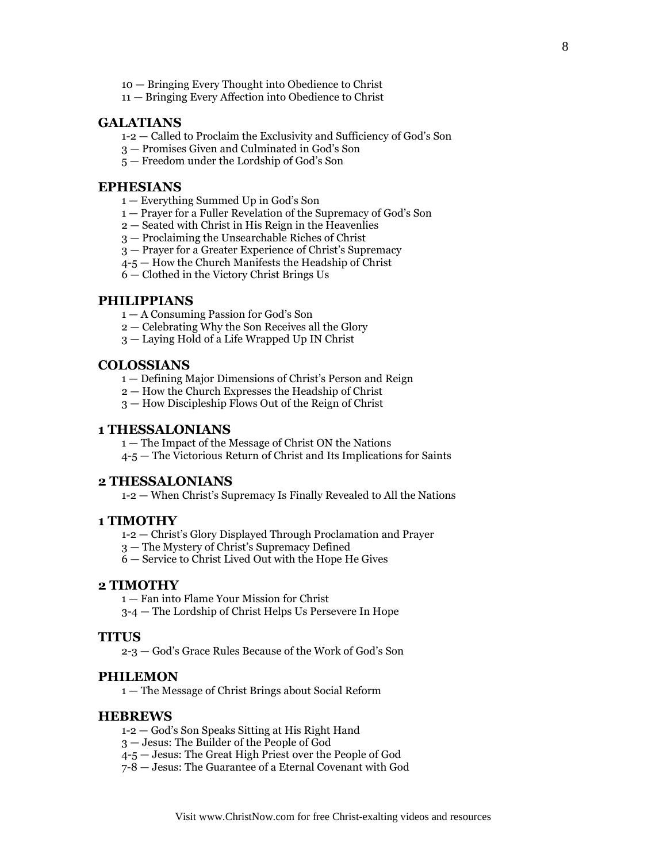- 10 Bringing Every Thought into Obedience to Christ
- 11 Bringing Every Affection into Obedience to Christ

#### **GALATIANS**

- 1-2 Called to Proclaim the Exclusivity and Sufficiency of God's Son
- 3 Promises Given and Culminated in God's Son
- 5 Freedom under the Lordship of God's Son

#### **EPHESIANS**

- 1 Everything Summed Up in God's Son
- 1 Prayer for a Fuller Revelation of the Supremacy of God's Son
- 2 Seated with Christ in His Reign in the Heavenlies
- 3 Proclaiming the Unsearchable Riches of Christ
- 3 Prayer for a Greater Experience of Christ's Supremacy
- 4-5 How the Church Manifests the Headship of Christ
- 6 Clothed in the Victory Christ Brings Us

#### **PHILIPPIANS**

- 1 A Consuming Passion for God's Son
- 2 Celebrating Why the Son Receives all the Glory
- 3 Laying Hold of a Life Wrapped Up IN Christ

#### **COLOSSIANS**

- 1 Defining Major Dimensions of Christ's Person and Reign
- 2 How the Church Expresses the Headship of Christ
- 3 How Discipleship Flows Out of the Reign of Christ

#### **1 THESSALONIANS**

1 — The Impact of the Message of Christ ON the Nations

4-5 — The Victorious Return of Christ and Its Implications for Saints

#### **2 THESSALONIANS**

1-2 — When Christ's Supremacy Is Finally Revealed to All the Nations

#### **1 TIMOTHY**

- 1-2 Christ's Glory Displayed Through Proclamation and Prayer
- 3 The Mystery of Christ's Supremacy Defined

6 — Service to Christ Lived Out with the Hope He Gives

#### **2 TIMOTHY**

- 1 Fan into Flame Your Mission for Christ
- 3-4 The Lordship of Christ Helps Us Persevere In Hope

#### **TITUS**

2-3 — God's Grace Rules Because of the Work of God's Son

#### **PHILEMON**

1 — The Message of Christ Brings about Social Reform

#### **HEBREWS**

- 1-2 God's Son Speaks Sitting at His Right Hand
- 3 Jesus: The Builder of the People of God
- 4-5 Jesus: The Great High Priest over the People of God
- 7-8 Jesus: The Guarantee of a Eternal Covenant with God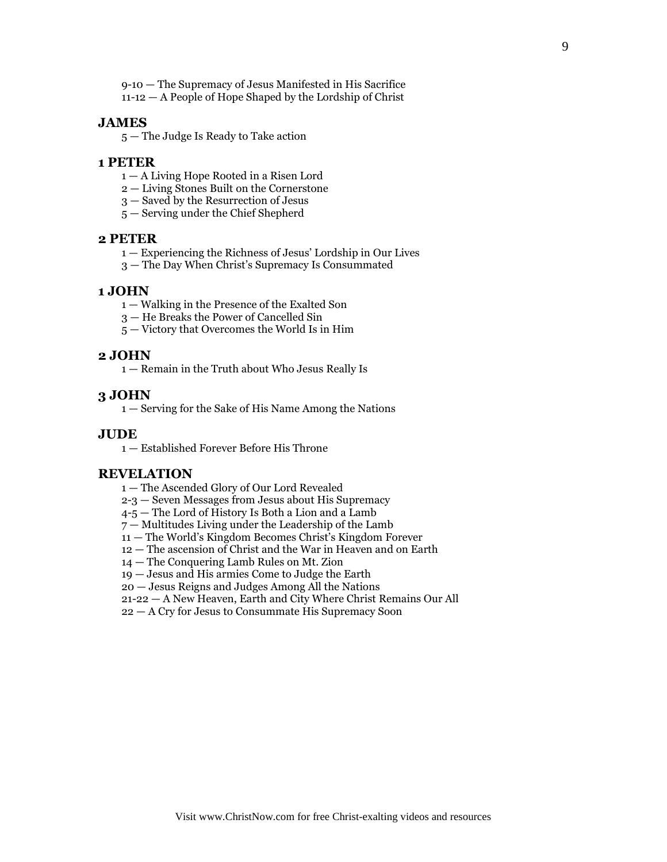9-10 — The Supremacy of Jesus Manifested in His Sacrifice 11-12 — A People of Hope Shaped by the Lordship of Christ

#### **JAMES**

— The Judge Is Ready to Take action

#### **PETER**

- A Living Hope Rooted in a Risen Lord
- Living Stones Built on the Cornerstone
- Saved by the Resurrection of Jesus
- Serving under the Chief Shepherd

#### **PETER**

- Experiencing the Richness of Jesus' Lordship in Our Lives
- The Day When Christ's Supremacy Is Consummated

#### **JOHN**

- Walking in the Presence of the Exalted Son
- He Breaks the Power of Cancelled Sin
- Victory that Overcomes the World Is in Him

#### **JOHN**

— Remain in the Truth about Who Jesus Really Is

#### **JOHN**

— Serving for the Sake of His Name Among the Nations

#### **JUDE**

— Established Forever Before His Throne

#### **REVELATION**

- The Ascended Glory of Our Lord Revealed
- 2-3 Seven Messages from Jesus about His Supremacy
- 4-5 The Lord of History Is Both a Lion and a Lamb
- Multitudes Living under the Leadership of the Lamb
- The World's Kingdom Becomes Christ's Kingdom Forever
- The ascension of Christ and the War in Heaven and on Earth
- The Conquering Lamb Rules on Mt. Zion
- Jesus and His armies Come to Judge the Earth
- Jesus Reigns and Judges Among All the Nations
- 21-22 A New Heaven, Earth and City Where Christ Remains Our All
- A Cry for Jesus to Consummate His Supremacy Soon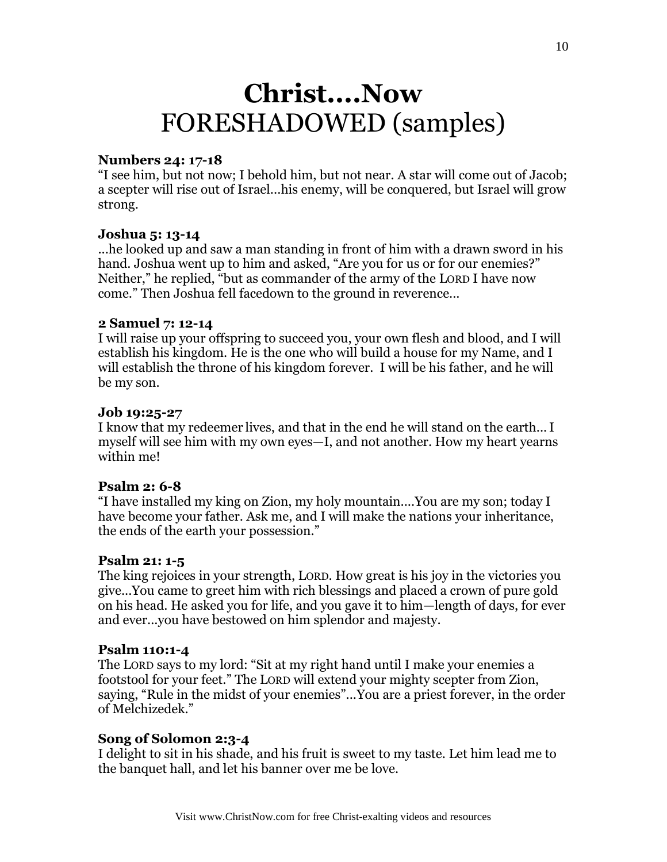# **Christ....Now** FORESHADOWED (samples)

### **Numbers 24: 17-18**

"I see him, but not now; I behold him, but not near. A star will come out of Jacob; a scepter will rise out of Israel...his enemy, will be conquered, but Israel will grow strong.

### **Joshua 5: 13-14**

...he looked up and saw a man standing in front of him with a drawn sword in his hand. Joshua went up to him and asked, "Are you for us or for our enemies?" Neither," he replied, "but as commander of the army of the LORD I have now come." Then Joshua fell facedown to the ground in reverence...

#### **2 Samuel 7: 12-14**

I will raise up your offspring to succeed you, your own flesh and blood, and I will establish his kingdom. He is the one who will build a house for my Name, and I will establish the throne of his kingdom forever. I will be his father, and he will be my son.

#### **Job 19:25-27**

I know that my redeemer lives, and that in the end he will stand on the earth...I myself will see him with my own eyes—I, and not another. How my heart yearns within me!

## **Psalm 2: 6-8**

"I have installed my king on Zion, my holy mountain....You are my son; today I have become your father. Ask me, and I will make the nations your inheritance, the ends of the earth your possession."

#### **Psalm 21: 1-5**

The king rejoices in your strength, LORD. How great is his joy in the victories you give...You came to greet him with rich blessings and placed a crown of pure gold on his head. He asked you for life, and you gave it to him—length of days, for ever and ever...you have bestowed on him splendor and majesty.

#### **Psalm 110:1-4**

The LORD says to my lord: "Sit at my right hand until I make your enemies a footstool for your feet." The LORD will extend your mighty scepter from Zion, saying, "Rule in the midst of your enemies"...You are a priest forever, in the order of Melchizedek."

#### **Song of Solomon 2:3-4**

I delight to sit in his shade, and his fruit is sweet to my taste. Let him lead me to the banquet hall, and let his banner over me be love.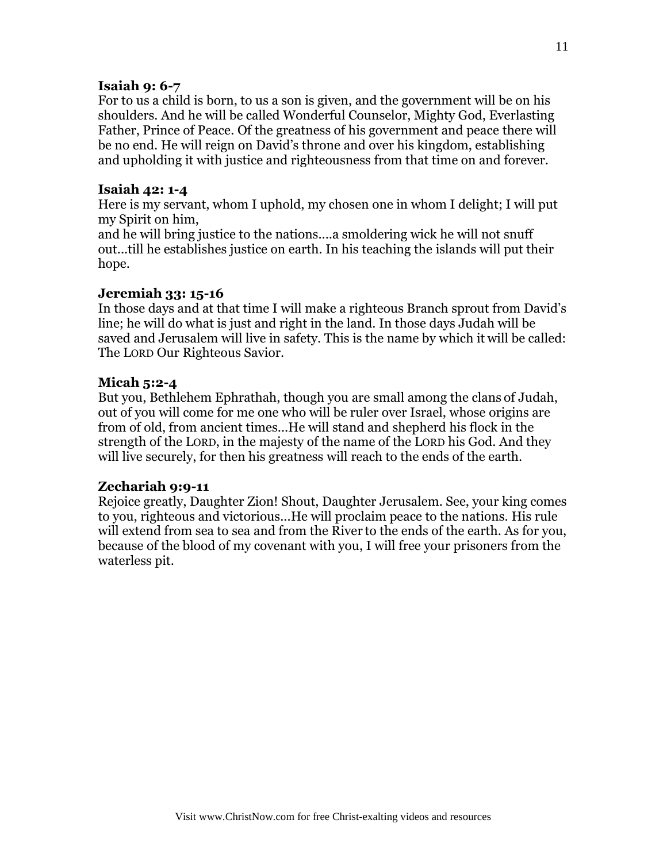# **Isaiah 9: 6-7**

For to us a child is born, to us a son is given, and the government will be on his shoulders. And he will be called Wonderful Counselor, Mighty God, Everlasting Father, Prince of Peace. Of the greatness of his government and peace there will be no end. He will reign on David's throne and over his kingdom, establishing and upholding it with justice and righteousness from that time on and forever.

# **Isaiah 42: 1-4**

Here is my servant, whom I uphold, my chosen one in whom I delight; I will put my Spirit on him,

and he will bring justice to the nations....a smoldering wick he will not snuff out...till he establishes justice on earth. In his teaching the islands will put their hope.

# **Jeremiah 33: 15-16**

In those days and at that time I will make a righteous Branch sprout from David's line; he will do what is just and right in the land. In those days Judah will be saved and Jerusalem will live in safety. This is the name by which it will be called: The LORD Our Righteous Savior.

# **Micah 5:2-4**

But you, Bethlehem Ephrathah, though you are small among the clans of Judah, out of you will come for me one who will be ruler over Israel, whose origins are from of old, from ancient times...He will stand and shepherd his flock in the strength of the LORD, in the majesty of the name of the LORD his God. And they will live securely, for then his greatness will reach to the ends of the earth.

# **Zechariah 9:9-11**

Rejoice greatly, Daughter Zion! Shout, Daughter Jerusalem. See, your king comes to you, righteous and victorious...He will proclaim peace to the nations. His rule will extend from sea to sea and from the River to the ends of the earth. As for you, because of the blood of my covenant with you, I will free your prisoners from the waterless pit.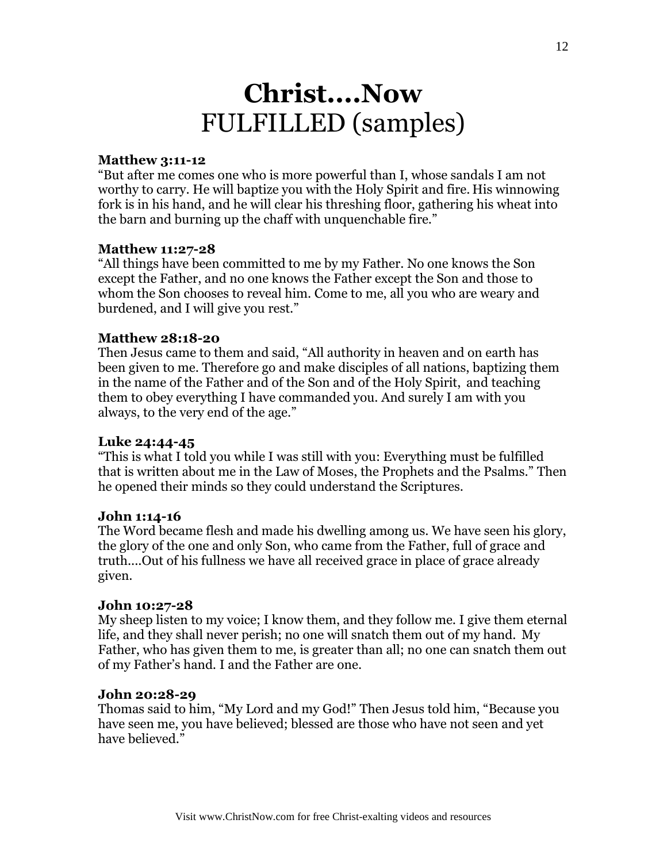# **Christ....Now** FULFILLED (samples)

# **Matthew 3:11-12**

"But after me comes one who is more powerful than I, whose sandals I am not worthy to carry. He will baptize you with the Holy Spirit and fire. His winnowing fork is in his hand, and he will clear his threshing floor, gathering his wheat into the barn and burning up the chaff with unquenchable fire."

# **Matthew 11:27-28**

"All things have been committed to me by my Father. No one knows the Son except the Father, and no one knows the Father except the Son and those to whom the Son chooses to reveal him. Come to me, all you who are weary and burdened, and I will give you rest."

# **Matthew 28:18-20**

Then Jesus came to them and said, "All authority in heaven and on earth has been given to me. Therefore go and make disciples of all nations, baptizing them in the name of the Father and of the Son and of the Holy Spirit, and teaching them to obey everything I have commanded you. And surely I am with you always, to the very end of the age."

# **Luke 24:44-45**

"This is what I told you while I was still with you: Everything must be fulfilled that is written about me in the Law of Moses, the Prophets and the Psalms." Then he opened their minds so they could understand the Scriptures.

# **John 1:14-16**

The Word became flesh and made his dwelling among us. We have seen his glory, the glory of the one and only Son, who came from the Father, full of grace and truth....Out of his fullness we have all received grace in place of grace already given.

# **John 10:27-28**

My sheep listen to my voice; I know them, and they follow me. I give them eternal life, and they shall never perish; no one will snatch them out of my hand. My Father, who has given them to me, is greater than all; no one can snatch them out of my Father's hand. I and the Father are one.

# **John 20:28-29**

Thomas said to him, "My Lord and my God!" Then Jesus told him, "Because you have seen me, you have believed; blessed are those who have not seen and yet have believed."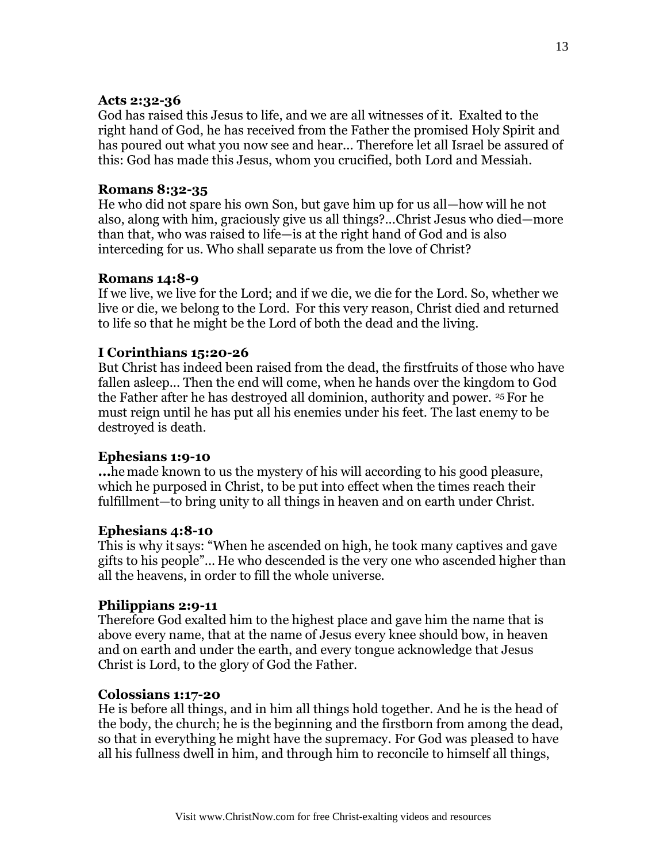# **Acts 2:32-36**

God has raised this Jesus to life, and we are all witnesses of it. Exalted to the right hand of God, he has received from the Father the promised Holy Spirit and has poured out what you now see and hear... Therefore let all Israel be assured of this: God has made this Jesus, whom you crucified, both Lord and Messiah.

# **Romans 8:32-35**

He who did not spare his own Son, but gave him up for us all—how will he not also, along with him, graciously give us all things?...Christ Jesus who died—more than that, who was raised to life—is at the right hand of God and is also interceding for us. Who shall separate us from the love of Christ?

# **Romans 14:8-9**

If we live, we live for the Lord; and if we die, we die for the Lord. So, whether we live or die, we belong to the Lord. For this very reason, Christ died and returned to life so that he might be the Lord of both the dead and the living.

# **I Corinthians 15:20-26**

But Christ has indeed been raised from the dead, the firstfruits of those who have fallen asleep... Then the end will come, when he hands over the kingdom to God the Father after he has destroyed all dominion, authority and power. <sup>25</sup> For he must reign until he has put all his enemies under his feet. The last enemy to be destroyed is death.

# **Ephesians 1:9-10**

**...**he made known to us the mystery of his will according to his good pleasure, which he purposed in Christ, to be put into effect when the times reach their fulfillment—to bring unity to all things in heaven and on earth under Christ.

# **Ephesians 4:8-10**

This is why it says: "When he ascended on high, he took many captives and gave gifts to his people"... He who descended is the very one who ascended higher than all the heavens, in order to fill the whole universe.

# **Philippians 2:9-11**

Therefore God exalted him to the highest place and gave him the name that is above every name, that at the name of Jesus every knee should bow, in heaven and on earth and under the earth, and every tongue acknowledge that Jesus Christ is Lord, to the glory of God the Father.

# **Colossians 1:17-20**

He is before all things, and in him all things hold together. And he is the head of the body, the church; he is the beginning and the firstborn from among the dead, so that in everything he might have the supremacy. For God was pleased to have all his fullness dwell in him, and through him to reconcile to himself all things,